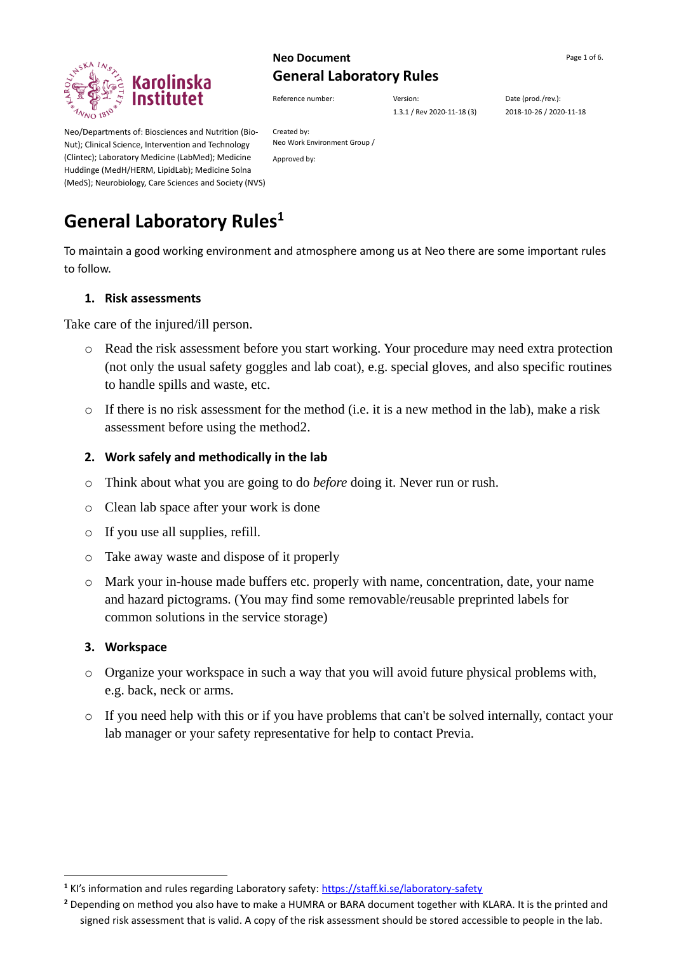

# **Neo Document** Page 1 of 6. **General Laboratory Rules**

Reference number:  $V$ ersion: Date (prod./rev.):

1.3.1 / Rev 2020-11-18 (3) 2018-10-26 / 2020-11-18

Neo/Departments of: Biosciences and Nutrition (Bio-Nut); Clinical Science, Intervention and Technology (Clintec); Laboratory Medicine (LabMed); Medicine Huddinge (MedH/HERM, LipidLab); Medicine Solna (MedS); Neurobiology, Care Sciences and Society (NVS)

Created by: Neo Work Environment Group / Approved by:

# **General Laboratory Rules<sup>1</sup>**

To maintain a good working environment and atmosphere among us at Neo there are some important rules to follow.

#### **1. Risk assessments**

Take care of the injured/ill person.

- o Read the risk assessment before you start working. Your procedure may need extra protection (not only the usual safety goggles and lab coat), e.g. special gloves, and also specific routines to handle spills and waste, etc.
- $\circ$  If there is no risk assessment for the method (i.e. it is a new method in the lab), make a risk assessment before using the method2.

#### **2. Work safely and methodically in the lab**

- o Think about what you are going to do *before* doing it. Never run or rush.
- o Clean lab space after your work is done
- o If you use all supplies, refill.
- o Take away waste and dispose of it properly
- o Mark your in-house made buffers etc. properly with name, concentration, date, your name and hazard pictograms. (You may find some removable/reusable preprinted labels for common solutions in the service storage)

#### **3. Workspace**

- o Organize your workspace in such a way that you will avoid future physical problems with, e.g. back, neck or arms.
- o If you need help with this or if you have problems that can't be solved internally, contact your lab manager or your safety representative for help to contact Previa.

**<sup>1</sup>** KI's information and rules regarding Laboratory safety: <https://staff.ki.se/laboratory-safety>

**<sup>2</sup>** Depending on method you also have to make a HUMRA or BARA document together with KLARA. It is the printed and signed risk assessment that is valid. A copy of the risk assessment should be stored accessible to people in the lab.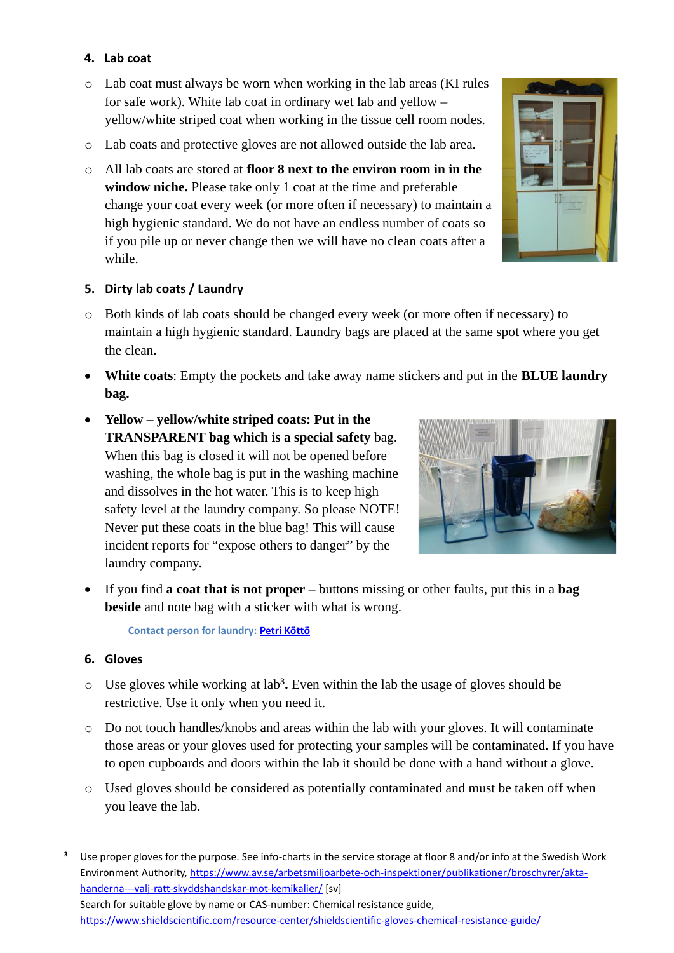# **4. Lab coat**

- o Lab coat must always be worn when working in the lab areas (KI rules for safe work). White lab coat in ordinary wet lab and yellow – yellow/white striped coat when working in the tissue cell room nodes.
- o Lab coats and protective gloves are not allowed outside the lab area.
- o All lab coats are stored at **floor 8 next to the environ room in in the window niche.** Please take only 1 coat at the time and preferable change your coat every week (or more often if necessary) to maintain a high hygienic standard. We do not have an endless number of coats so if you pile up or never change then we will have no clean coats after a while.



## **5. Dirty lab coats / Laundry**

- o Both kinds of lab coats should be changed every week (or more often if necessary) to maintain a high hygienic standard. Laundry bags are placed at the same spot where you get the clean.
- **White coats**: Empty the pockets and take away name stickers and put in the **BLUE laundry bag.**
- **Yellow – yellow/white striped coats: Put in the TRANSPARENT bag which is a special safety** bag. When this bag is closed it will not be opened before washing, the whole bag is put in the washing machine and dissolves in the hot water. This is to keep high safety level at the laundry company. So please NOTE! Never put these coats in the blue bag! This will cause incident reports for "expose others to danger" by the laundry company.



• If you find **a coat that is not proper** – buttons missing or other faults, put this in a **bag beside** and note bag with a sticker with what is wrong.

**Contact person for laundry[: Petri Köttö](mailto:petri.kotto@ki.se)**

## **6. Gloves**

- o Use gloves while working at lab**<sup>3</sup> .** Even within the lab the usage of gloves should be restrictive. Use it only when you need it.
- o Do not touch handles/knobs and areas within the lab with your gloves. It will contaminate those areas or your gloves used for protecting your samples will be contaminated. If you have to open cupboards and doors within the lab it should be done with a hand without a glove.
- o Used gloves should be considered as potentially contaminated and must be taken off when you leave the lab.

**<sup>3</sup>** Use proper gloves for the purpose. See info-charts in the service storage at floor 8 and/or info at the Swedish Work Environment Authority, [https://www.av.se/arbetsmiljoarbete-och-inspektioner/publikationer/broschyrer/akta](https://www.av.se/arbetsmiljoarbete-och-inspektioner/publikationer/broschyrer/akta-handerna---valj-ratt-skyddshandskar-mot-kemikalier/)[handerna---valj-ratt-skyddshandskar-mot-kemikalier/](https://www.av.se/arbetsmiljoarbete-och-inspektioner/publikationer/broschyrer/akta-handerna---valj-ratt-skyddshandskar-mot-kemikalier/) [sv] Search for suitable glove by name or CAS-number: Chemical resistance guide, <https://www.shieldscientific.com/resource-center/shieldscientific-gloves-chemical-resistance-guide/>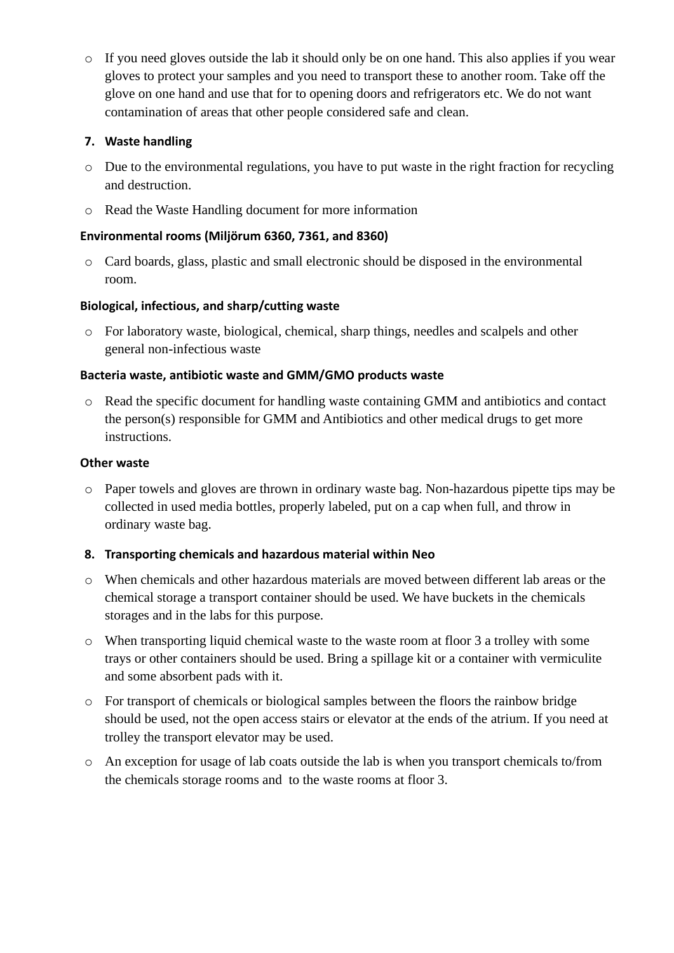o If you need gloves outside the lab it should only be on one hand. This also applies if you wear gloves to protect your samples and you need to transport these to another room. Take off the glove on one hand and use that for to opening doors and refrigerators etc. We do not want contamination of areas that other people considered safe and clean.

# **7. Waste handling**

- o Due to the environmental regulations, you have to put waste in the right fraction for recycling and destruction.
- o Read the Waste Handling document for more information

## **Environmental rooms (Miljörum 6360, 7361, and 8360)**

o Card boards, glass, plastic and small electronic should be disposed in the environmental room.

## **Biological, infectious, and sharp/cutting waste**

o For laboratory waste, biological, chemical, sharp things, needles and scalpels and other general non-infectious waste

## **Bacteria waste, antibiotic waste and GMM/GMO products waste**

o Read the specific document for handling waste containing GMM and antibiotics and contact the person(s) responsible for GMM and Antibiotics and other medical drugs to get more instructions.

## **Other waste**

o Paper towels and gloves are thrown in ordinary waste bag. Non-hazardous pipette tips may be collected in used media bottles, properly labeled, put on a cap when full, and throw in ordinary waste bag.

## **8. Transporting chemicals and hazardous material within Neo**

- o When chemicals and other hazardous materials are moved between different lab areas or the chemical storage a transport container should be used. We have buckets in the chemicals storages and in the labs for this purpose.
- o When transporting liquid chemical waste to the waste room at floor 3 a trolley with some trays or other containers should be used. Bring a spillage kit or a container with vermiculite and some absorbent pads with it.
- o For transport of chemicals or biological samples between the floors the rainbow bridge should be used, not the open access stairs or elevator at the ends of the atrium. If you need at trolley the transport elevator may be used.
- o An exception for usage of lab coats outside the lab is when you transport chemicals to/from the chemicals storage rooms and to the waste rooms at floor 3.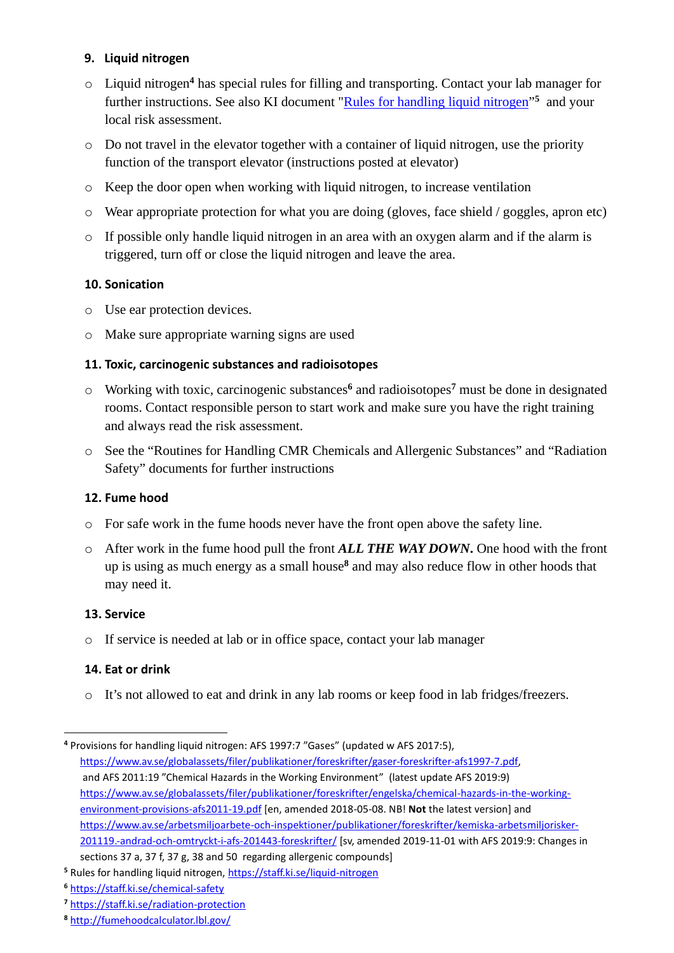## **9. Liquid nitrogen**

- o Liquid nitrogen**<sup>4</sup>** has special rules for filling and transporting. Contact your lab manager for further instructions. See also KI document ["Rules for handling liquid nitrogen](https://staff.ki.se/liquid-nitrogen)"<sup>5</sup> and your local risk assessment.
- o Do not travel in the elevator together with a container of liquid nitrogen, use the priority function of the transport elevator (instructions posted at elevator)
- o Keep the door open when working with liquid nitrogen, to increase ventilation
- o Wear appropriate protection for what you are doing (gloves, face shield / goggles, apron etc)
- o If possible only handle liquid nitrogen in an area with an oxygen alarm and if the alarm is triggered, turn off or close the liquid nitrogen and leave the area.

# **10. Sonication**

- o Use ear protection devices.
- o Make sure appropriate warning signs are used

## **11. Toxic, carcinogenic substances and radioisotopes**

- o Working with toxic, carcinogenic substances**<sup>6</sup>** and radioisotopes**<sup>7</sup>** must be done in designated rooms. Contact responsible person to start work and make sure you have the right training and always read the risk assessment.
- o See the "Routines for Handling CMR Chemicals and Allergenic Substances" and "Radiation Safety" documents for further instructions

# **12. Fume hood**

- o For safe work in the fume hoods never have the front open above the safety line.
- o After work in the fume hood pull the front *ALL THE WAY DOWN***.** One hood with the front up is using as much energy as a small house**<sup>8</sup>** and may also reduce flow in other hoods that may need it.

## **13. Service**

o If service is needed at lab or in office space, contact your lab manager

## **14. Eat or drink**

o It's not allowed to eat and drink in any lab rooms or keep food in lab fridges/freezers.

**<sup>4</sup>** Provisions for handling liquid nitrogen: AFS 1997:7 "Gases" (updated w AFS 2017:5), [https://www.av.se/globalassets/filer/publikationer/foreskrifter/gaser-foreskrifter-afs1997-7.pdf,](https://www.av.se/globalassets/filer/publikationer/foreskrifter/gaser-foreskrifter-afs1997-7.pdf) and AFS 2011:19 "Chemical Hazards in the Working Environment" (latest update AFS 2019:9) [https://www.av.se/globalassets/filer/publikationer/foreskrifter/engelska/chemical-hazards-in-the-working](https://www.av.se/globalassets/filer/publikationer/foreskrifter/engelska/chemical-hazards-in-the-working-environment-provisions-afs2011-19.pdf)[environment-provisions-afs2011-19.pdf](https://www.av.se/globalassets/filer/publikationer/foreskrifter/engelska/chemical-hazards-in-the-working-environment-provisions-afs2011-19.pdf) [en, amended 2018-05-08. NB! **Not** the latest version] and [https://www.av.se/arbetsmiljoarbete-och-inspektioner/publikationer/foreskrifter/kemiska-arbetsmiljorisker-](https://www.av.se/arbetsmiljoarbete-och-inspektioner/publikationer/foreskrifter/kemiska-arbetsmiljorisker-201119.-andrad-och-omtryckt-i-afs-201443-foreskrifter/)[201119.-andrad-och-omtryckt-i-afs-201443-foreskrifter/](https://www.av.se/arbetsmiljoarbete-och-inspektioner/publikationer/foreskrifter/kemiska-arbetsmiljorisker-201119.-andrad-och-omtryckt-i-afs-201443-foreskrifter/) [sv, amended 2019-11-01 with AFS 2019:9: Changes in sections 37 a, 37 f, 37 g, 38 and 50 regarding allergenic compounds]

**<sup>5</sup>** Rules for handling liquid nitrogen[, https://staff.ki.se/liquid-nitrogen](https://staff.ki.se/liquid-nitrogen)

**<sup>6</sup>** <https://staff.ki.se/chemical-safety>

**<sup>7</sup>** <https://staff.ki.se/radiation-protection>

**<sup>8</sup>** <http://fumehoodcalculator.lbl.gov/>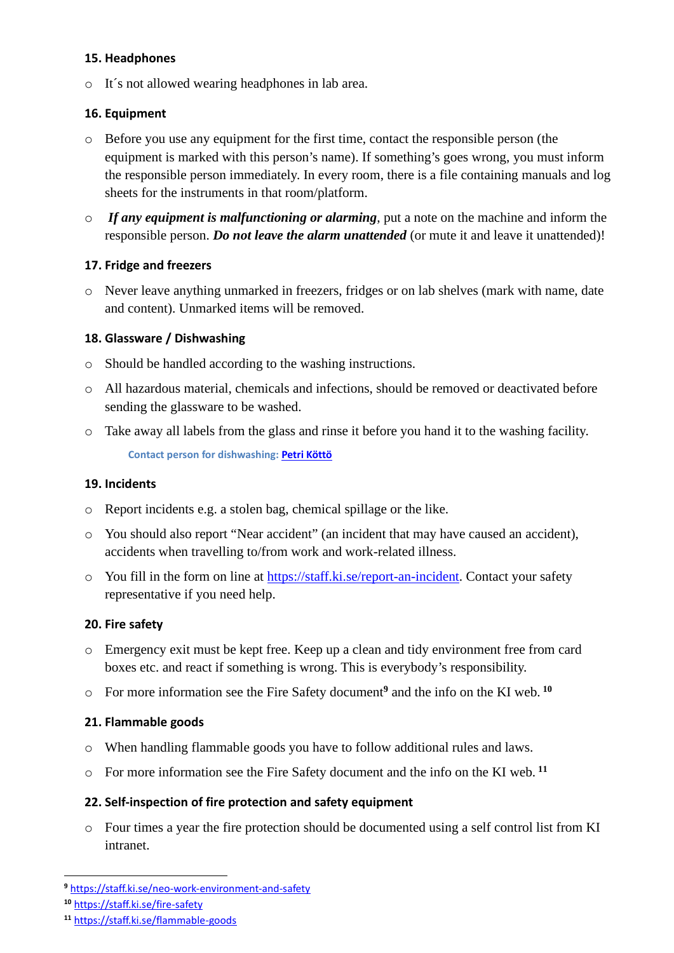#### **15. Headphones**

o It´s not allowed wearing headphones in lab area.

## **16. Equipment**

- o Before you use any equipment for the first time, contact the responsible person (the equipment is marked with this person's name). If something's goes wrong, you must inform the responsible person immediately. In every room, there is a file containing manuals and log sheets for the instruments in that room/platform.
- o *If any equipment is malfunctioning or alarming*, put a note on the machine and inform the responsible person. *Do not leave the alarm unattended* (or mute it and leave it unattended)!

## **17. Fridge and freezers**

o Never leave anything unmarked in freezers, fridges or on lab shelves (mark with name, date and content). Unmarked items will be removed.

## **18. Glassware / Dishwashing**

- o Should be handled according to the washing instructions.
- o All hazardous material, chemicals and infections, should be removed or deactivated before sending the glassware to be washed.
- o Take away all labels from the glass and rinse it before you hand it to the washing facility. **Contact person for dishwashing: [Petri Köttö](mailto:petri.kotto@ki.se)**

## **19. Incidents**

- o Report incidents e.g. a stolen bag, chemical spillage or the like.
- o You should also report "Near accident" (an incident that may have caused an accident), accidents when travelling to/from work and work-related illness.
- o You fill in the form on line at [https://staff.ki.se/report-an-incident.](https://staff.ki.se/report-an-incident) Contact your safety representative if you need help.

# **20. Fire safety**

- o Emergency exit must be kept free. Keep up a clean and tidy environment free from card boxes etc. and react if something is wrong. This is everybody's responsibility.
- o For more information see the Fire Safety document**<sup>9</sup>** and the info on the KI web. **<sup>10</sup>**

# **21. Flammable goods**

- o When handling flammable goods you have to follow additional rules and laws.
- o For more information see the Fire Safety document and the info on the KI web. **<sup>11</sup>**

## **22. Self-inspection of fire protection and safety equipment**

o Four times a year the fire protection should be documented using a self control list from KI intranet.

**<sup>9</sup>** <https://staff.ki.se/neo-work-environment-and-safety>

**<sup>10</sup>** <https://staff.ki.se/fire-safety>

**<sup>11</sup>** <https://staff.ki.se/flammable-goods>